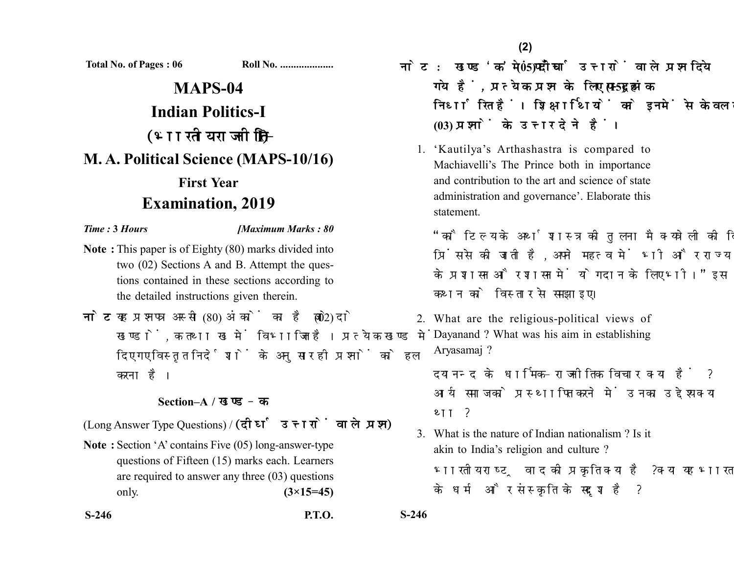**Total No. of Pages : 06 Roll No. ...................** 

## **MAPS-04 Indian Politics-I** (भारतीय राजनीति-I) **M. A. Political Science (MAPS-10/16) First Year Examination, 2019**

## *Time :* **3** *Hours [Maximum Marks : 80*

- **Note :** This paper is of Eighty (80) marks divided into two (02) Sections A and B. Attempt the questions contained in these sections according to the detailed instructions given therein.
- नोट: यह प्रश्नपत्र अस्सी (80) अंकों का है जो दो (02) खण्डों, क तथा ख में विभाजित है। प्रत्येक खण्ड में दिए गए विस्तृत निर्देशों के अनुसार ही प्रश्नों को हल करना है।

## **Section–A /**

(Long Answer Type Questions) / (दीर्घ उत्तरों वाले प्रश्न)

**Note :** Section 'A' contains Five (05) long-answer-type questions of Fifteen (15) marks each. Learners are required to answer any three (03) questions only. **(3×15=45)**

- <u>नोट: खण्ड'क'में पाँच (05) दीर्घ उत्तरों वाले प्रश्न दिये</u> गये हैं, प्रत्येक प्रश्न के लिए पन्दह (15) अंक निर्धारित हैं। शिक्षार्थियों को इनमें से केवल तीन **(03)** 
	- 1. 'Kautilya's Arthashastra is compared to Machiavelli's The Prince both in importance and contribution to the art and science of state administration and governance'. Elaborate this statement.

"कौटिल्य के अर्थशास्त्र की तलना मैक्यवेली की दि प्रिंस से की जाती है. अपने महत्व में भी और राज्य के प्रशासन और शासन में योगदान के लिए भी।" इस कथन को विस्तार से समझाइए।

2. What are the religious-political views of Dayanand ? What was his aim in establishing Aryasamaj ?

दयानन्द के धार्मिक-राजनीतिक विचार क्या हैं ? आर्य समाज को प्रस्थापित करने में उनका उद्देश्य क्या था ?

3. What is the nature of Indian nationalism ? Is it akin to India's religion and culture ? भारतीय राष्ट्रवाद की प्रकृति क्या है ? क्या यह भारत के धर्म और संस्कृति के सदृश है ?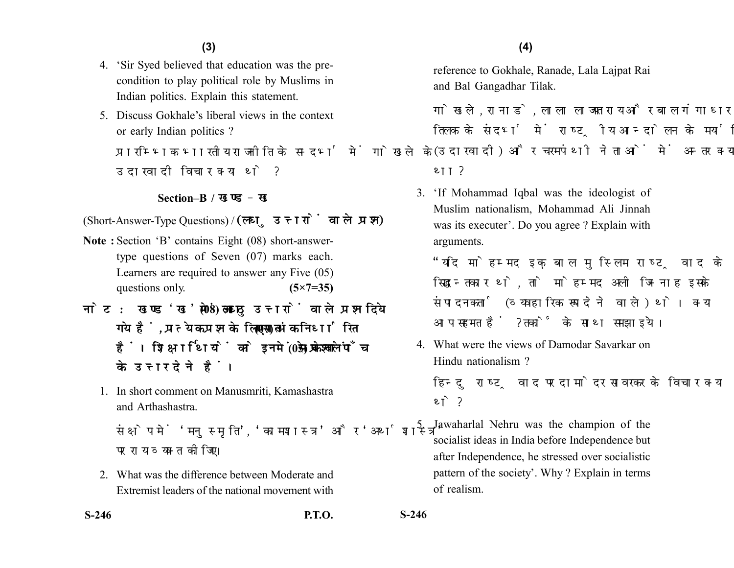- 4. 'Sir Syed believed that education was the precondition to play political role by Muslims in Indian politics. Explain this statement.
- 5. Discuss Gokhale's liberal views in the context or early Indian politics ?

प्रारम्भिक भारतीय राजनीति के सन्दर्भ में गोखले के उदारवादी विचार क्या थे ?

## **Section–B /**

(Short-Answer-Type Questions) / (लघु उत्तरों वाले प्रश्न)

- **Note :** Section 'B' contains Eight (08) short-answertype questions of Seven (07) marks each. Learners are required to answer any Five (05) questions only. **(5×7=35)**
- नोट: खण्ड'ख' में आठ (08) लघु उत्तरों वाले प्रश्न दिये गये हैं, प्रत्येक प्रश्न के लिए सात (07) अंक निर्धारित हैं। शिक्षार्थियों को इनमें से केवल पाँच (05) प्रश्नों के उत्तर देने हैं।
	- 1. In short comment on Manusmriti, Kamashastra and Arthashastra.

संक्षेप में 'मनस्मति', 'कामशास्त्र' और 'अर्थशास्त्र' पर राय व्यक्त कोजिए।

2. What was the difference between Moderate and Extremist leaders of the national movement with reference to Gokhale, Ranade, Lala Lajpat Rai and Bal Gangadhar Tilak.

गोखले. रानाडे. लाला लाजपत राय और बाल गंगाधर तिलक के संदर्भ में राष्टीय आन्दोलन के मर्यादित (उदारवादी) और चरमपंथी नेताओं में अन्तर क्या था ?

3. 'If Mohammad Iqbal was the ideologist of Muslim nationalism, Mohammad Ali Jinnah was its executer'. Do you agree ? Explain with arguments.

"यदि मोहम्मद इकबाल मस्लिम राष्टवाद के सिद्धान्तकार थे. तो मोहम्मद अली जिन्नाह इसके संपादनकर्ता (व्यवहारिक रूप देने वाले) थे। क्या आप सहमत हैं ? तर्कों के साथ समझाइये।

4. What were the views of Damodar Savarkar on Hindu nationalism ?

हिन्दु राष्ट्रवाद पर दामोदर सावरकर के विचार क्या थे ?

5. Jawaharlal Nehru was the champion of the socialist ideas in India before Independence but after Independence, he stressed over socialistic pattern of the society'. Why ? Explain in terms of realism.